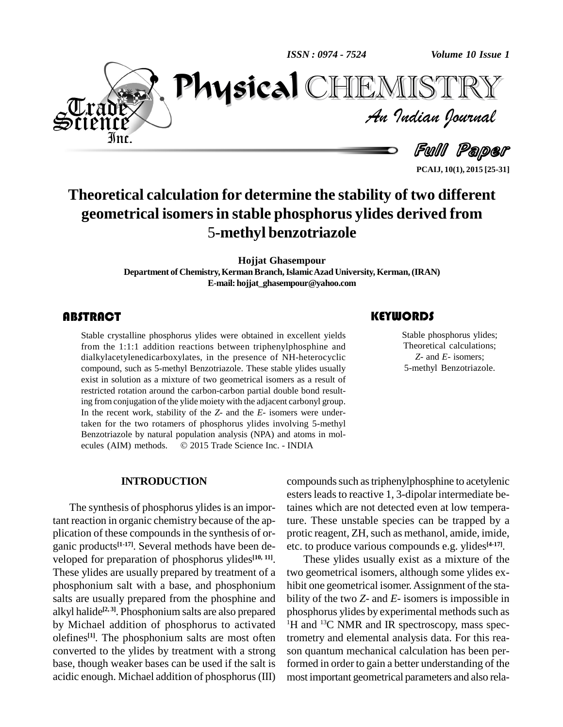*ISSN : 0974 - 7524*



*Volume 10 Issue 1*<br>IISTRY<br>Indian Iournal  $\mathbf{P}$ CHEMISTRY

> Full Paper **PCAIJ, 10(1), 2015 [25-31]**

# **Theoretical calculation for determine the stability of two different geometrical isomersin stable phosphorus ylides derived from** 5**-methyl benzotriazole**

**Hojjat Ghasempour Department of Chemistry,KermanBranch,IslamicAzadUniversity, Kerman,(IRAN) E-mail:[hojjat\\_ghasempour@yahoo.com](mailto:hojjat_ghasempour@yahoo.com)**

# **ABSTRACT**

Stable crystalline phosphorus ylides were obtained in excellent yields<br>from the 1:1:1 addition reactions between triphenylphosphine and<br>dialkylacetylenedicarboxylates, in the presence of NH-heterocyclic Stable crystalline phosphorus ylides were obtained in excellent yields from the 1:1:1 addition reactions between triphenylphosphine and compound, such as 5-methyl Benzotriazole. These stable ylides usually exist in solution as a mixture of two geometrical isomers as a result of restricted rotation around the carbon-carbon partial double bond resulting fromconjugation of the ylide moiety with the adjacent carbonyl group. In the recent work, stability of the *Z*- and the *E*- isomers were undertaken for the two rotamers of phosphorus ylides involving 5-methyl Benzotriazole by natural population analysis (NPA) and atoms in mol taken for the two rotamers of phosphorus ylides involving 5-methyl<br>Benzotriazole by natural population analysis (NPA) and atoms in molecules (AIM) methods.  $\circ$  2015 Trade Science Inc. - INDIA

### **INTRODUCTION**

The synthesis of phosphorus ylides is an important reaction in organic chemistry because of the ap plication of these compounds in the synthesis of organic products<sup>[1-17]</sup>. Several methods have been de- etc. veloped for preparation of phosphorus ylides **[10, 11]**. These ylides are usually prepared by treatment of a phosphonium salt with a base, and phosphonium salts are usually prepared from the phosphine and alkyl halide **[2, 3]**. Phosphonium salts are also prepared by Michael addition of phosphorus to activated olefines<sup>[1]</sup>. The phosphonium salts are most often tromet converted to the ylides by treatment with a strong base, though weaker bases can be used if the salt is acidic enough. Michael addition of phosphorus(III)

Stable phosphorus<br>Theoretical calculars<br>Z- and E- isome Stable phosphorus ylides; Theoretical calculations; *Z-* and *E-* isomers; 5-methyl Benzotriazole.

compounds such as triphenylphosphine to acetylenic esters leads to reactive 1, 3-dipolar intermediate betaines which are not detected even at low temperature. These unstable species can be trapped by a protic reagent, ZH, such as methanol, amide, imide, etc. to produce various compounds e.g. ylides **[4-17]**.

These ylides usually exist as a mixture of the two geometrical isomers, although some ylides ex hibit one geometrical isomer. Assignment of the stability of the two *Z*- and *E*- isomers is impossible in phosphorus ylides by experimental methods such as <sup>1</sup>H and <sup>13</sup>C NMR and IR spectroscopy, mass spectrometry and elemental analysis data. For this rea son quantum mechanical calculation has been performed in order to gain a better understanding of the most important geometrical parameters and also rela-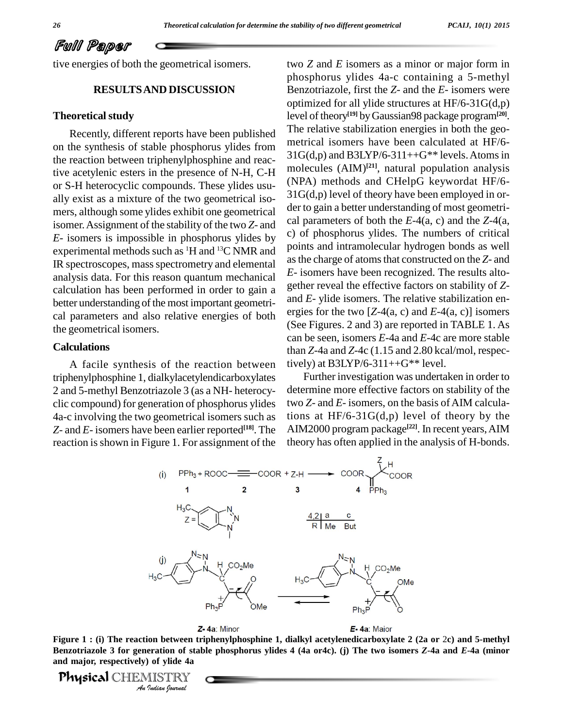# Full Paper

tive energies of both the geometrical isomers.

# **RESULTSAND DISCUSSION**

### **Theoretical study**

Recently, different reports have been published on the synthesis of stable phosphorus ylides from the reaction between triphenylphosphine and reactive acetylenic esters in the presence of N-H, C-H or S-H heterocyclic compounds. These ylides usu ally exist as a mixture of the two geometrical iso mers, although some ylides exhibit one geometrical isomer.Assignment of the stability of the two *Z*- and *E*- isomers is impossible in phosphorus ylides by experimental methods such as  ${}^{1}H$  and  ${}^{13}C$  NMR and  ${}^{19}C_{11}$ IR spectroscopes, mass spectrometry and elemental analysis data. For this reason quantum mechanical calculation has been performed in order to gain a better understanding of the most important geometrical parameters and also relative energies of both the geometrical isomers.

#### **Calculations**

A facile synthesis of the reaction between triphenylphosphine 1, dialkylacetylendicarboxylates 2 and 5-methyl Benzotriazole 3 (as a NH- heterocy clic compound) for generation of phosphorus ylides 4a-c involving the two geometrical isomers such as *Z-* and *E-* isomers have been earlier reported **[18]**. The reaction is shown in Figure 1. For assignment of the

two *Z* and *E* isomers as a minor or major form in phosphorus ylides 4a-c containing a 5-methyl Benzotriazole, first the *Z*- and the *E*- isomers were optimized for all ylide structures at HF/6-31G(d,p) level of theory **[19]** byGaussian98 package program**[20]**. The relative stabilization energies in both the geo metrical isomers have been calculated at HF/6-  $31G(d,p)$  and  $B3LYP/6-311++G**$  levels. Atoms in molecules (AIM) **[21]**, natural population analysis (NPA) methods and CHelpG keywordat HF/6- 31G(d,p) level of theory have been employed in or der to gain a better understanding of most geometri cal parameters of both the *E*-4(a, c) and the *Z*-4(a, c) of phosphorus ylides. The numbers of critical points and intramolecular hydrogen bonds as well asthe charge of atomsthat constructed on the *Z*- and *E*- isomers have been recognized. The results alto gether reveal the effective factors on stability of *Z* and *E*-ylide isomers. The relative stabilization en ergies for the two [*Z*-4(a, c) and *E*-4(a, c)] isomers (See Figures. 2 and 3) are reported in TABLE 1. As can be seen, isomers *E*-4a and *E*-4c are more stable than *Z*-4a and *Z*-4c (1.15 and 2.80 kcal/mol, respectively) at B3LYP/6-311++ $G^{**}$  level.

Further investigation was undertaken in order to determine more effective factors on stability of the two *Z*- and *E*- isomers, on the basis of AIM calculations at  $HF/6-31G(d,p)$  level of theory by the AIM2000 program package **[22]**. In recent years,AIM theory has often applied in the analysis of H-bonds.



*I*<br>**Pration of sta<br>** *I* **of ylide 4a<br>** *I* **Judian Iournal<br>Indian Iournal nd** major, respectively) of ylide 4a<br> **Physical CLUDA EXCEPTIVE** Figure 1 : (i) The reaction between triphenylphosphine 1, dialkyl acetylenedicarboxylate 2 (2a or 2c) and 5-methyl Benzotriazole 3 for generation of stable phosphorus ylides 4 (4a or4c). (j) The two isomers Z-4a and E-4a (minor

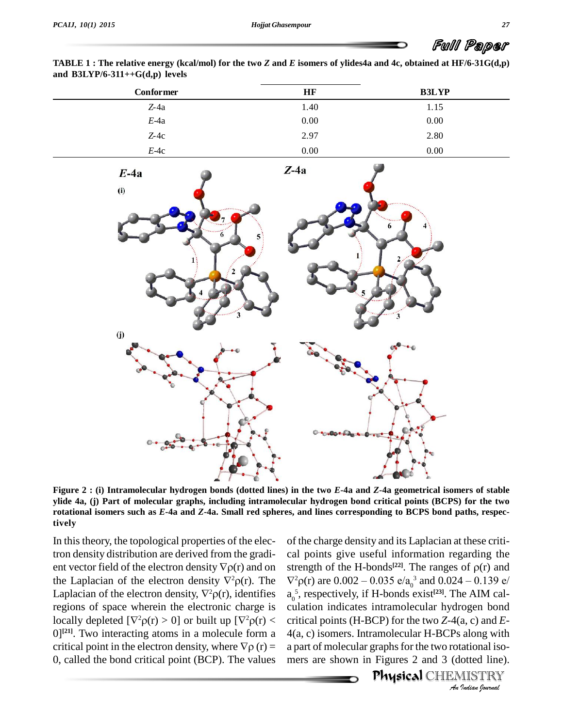**TABLE 1**: The relative energy (kcal/mol) for the two Z and E isomers of ylides4a and 4c, obtained at HF/6-31G(d,p) **and B3LYP/6-311++G(d,p) levels**

| Conformer | HF   | <b>B3LYP</b> |
|-----------|------|--------------|
| $Z-4a$    | 1.40 | 1.15         |
| $E$ -4a   | 0.00 | 0.00         |
| $Z-4c$    | 2.97 | 2.80         |
| $E-4c$    | 0.00 | 0.00         |



Figure 2 : (i) Intramolecular hydrogen bonds (dotted lines) in the two E-4a and Z-4a geometrical isomers of stable ylide 4a, (j) Part of molecular graphs, including intramolecular hydrogen bond critical points (BCPS) for the two rotational isomers such as  $E$ -4a and  $Z$ -4a. Small red spheres, and lines corresponding to BCPS bond paths, respec**tively**

In this theory, the topological properties of the electron density distribution are derived from the gradi- In this theory, the topological properties of the electron density distribution are derived from the gradical poent vector field of the electron density  $\nabla \rho(r)$  and on strengt tron density distribution are derived from the gradi-cal point vector field of the electron density  $\nabla \rho(\mathbf{r})$  and on streng the Laplacian of the electron density  $\nabla^2 \rho(\mathbf{r})$ . The  $\nabla^2 \rho(\mathbf{r})$ ent vector field of the electron density  $\nabla \rho(\mathbf{r})$  and on stren<br>the Laplacian of the electron density,  $\nabla^2 \rho(\mathbf{r})$ . The  $\nabla^2 \rho(\mathbf{r})$ <br>Laplacian of the electron density,  $\nabla^2 \rho(\mathbf{r})$ , identifies  $\mathbf{a}_0^5$ , r regions of space wherein the electronic charge is Laplacian of the electron density,  $\nabla^2 \rho(r)$ , identifies  $a_0^5$ , resp<br>regions of space wherein the electronic charge is culation<br>locally depleted  $[\nabla^2 \rho(r) > 0]$  or built up  $[\nabla^2 \rho(r) <$  critical j  $0$ <sup>[21]</sup>. Two interacting atoms in a molecule form a  $4(a, c)$  iso locally depleted  $[\nabla^2 \rho(r) > 0]$  or built up  $[\nabla^2 \rho(r) <$  critical  $[0]^{[21]}$ . Two interacting atoms in a molecule form a 4(a, c) is critical point in the electron density, where  $\nabla \rho(r) =$  a part of 0, called the bond critical point (BCP). The values

culation indicates intramolecular hydrogen bond *Indian*<br> *I Indian*<br> *Indian*<br> *IISTRY*<br> *IISTRY*<br> *IIIIRY* of the charge density and its Laplacian at these criti cal points give useful information regarding the of the charge density and its Laplacian at these critical points give useful information regarding the strength of the H-bonds<sup>[22]</sup>. The ranges of  $\rho(r)$  and al points give useful information regarding the<br>rength of the H-bonds<sup>[22]</sup>. The ranges of  $\rho(r)$  and<br> ${}^{2}\rho(r)$  are  $0.002 - 0.035 e/a_0^3$  and  $0.024 - 0.139 e/a$ a<sub>0</sub><sup>5</sup>, respectively, if H-bonds exist<sup>[23]</sup>. The AIM calcritical points (H-BCP) for the two *Z*-4(a, c) and *E*- 4(a, c) isomers. Intramolecular H-BCPs along with a part of molecular graphs for the two rotational isomers are shown in Figures 2 and 3 (dotted line).

**Physical** CHEMISTRY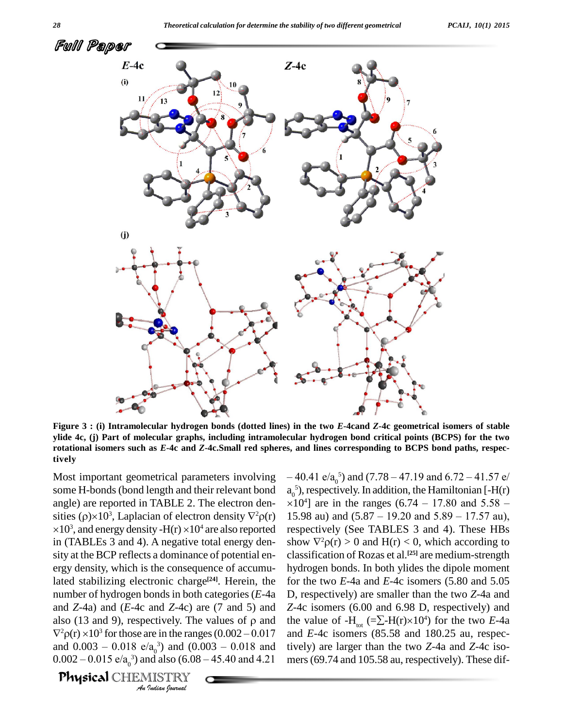

Figure 3 : (i) Intramolecular hydrogen bonds (dotted lines) in the two E-4cand Z-4c geometrical isomers of stable ylide 4c, (j) Part of molecular graphs, including intramolecular hydrogen bond critical points (BCPS) for the two rotational isomers such as E-4c and Z-4c.Small red spheres, and lines corresponding to BCPS bond paths, respec**tively**

and *Z*-4a) and (*E*-4c and *Z*-4c) are (7 and 5) and *Z*-4c is *Indian Z*-4C) and *Z*-4C) and *I A*<sub>0</sub><sup>3</sup> and (0.1<br>*I A*<sub>0</sub><sup>3</sup> and (0.1<br>*I ISTRY Indian hournal* Most important geometrical parameters involving some H-bonds(bond length and their relevant bond angle) are reported in TABLE 2. The electron den- $\times 10$ some H-bonds (bond length and their relevant bond  $a_0^5$ ),<br>angle) are reported in TABLE 2. The electron den-<br>sities ( $\rho$ )×10<sup>3</sup>, Laplacian of electron density  $\nabla^2 \rho(r)$  15.9  $10<sup>3</sup>$ , and energy density -H(r)  $\times 10<sup>4</sup>$  are also reported respectively e) are reported in TABLE 2. The electron<br>s ( $\rho$ )×10<sup>3</sup>, Laplacian of electron densit<br>, and energy density -H(r) ×10<sup>4</sup> are also in (TABLEs 3 and 4). A negative total energy den sity at the BCP reflects a dominance of potential en ergy density, which is the consequence of accumulated stabilizing electronic charge<sup>[24]</sup>. Herein, the for th number of hydrogen bondsin both categories (*E*-4a mumber of hydrogen bonds in both categories (*E*-4a D, respectively. The values of  $\beta$  and  $Z$ -4c is also (13 and 9), respectively. The values of  $\rho$  and the values nd Z-4a) and (E-4c and Z-4c) are (7 and 5) and Z-4c is<br>so (13 and 9), respectively. The values of  $\rho$  and the val<br> ${}^{2}P(r) \times 10^{3}$  for those are in the ranges (0.002 – 0.017 and Ealso (13 and 9), respectively. The values of  $\rho$  and the val<br>  $\nabla^2 \rho(r) \times 10^3$  for those are in the ranges (0.002 – 0.017 and *E*-<br>
and 0.003 – 0.018 e/a<sub>0</sub><sup>3</sup>) and (0.003 – 0.018 and tively)  $\nabla^2 \rho(r) \times 10^3$  for those are in the ranges (0.002 – 0.017 and *E*-<br>and 0.003 – 0.018 e/a<sub>0</sub><sup>3</sup>) and (0.003 – 0.018 and tively)<br>0.002 – 0.015 e/a<sub>0</sub><sup>3</sup>) and also (6.08 – 45.40 and 4.21 mers (6

**Physical** CHEMISTRY

s, and lines corresponding to BCPS bond paths, respec-<br>  $-40.41 e/a_0^5$  and  $(7.78 - 47.19 \text{ and } 6.72 - 41.57 e/a_0^5)$ , respectively. In addition, the Hamiltonian [-H(r)  $\times 10^4$ ] are in the ranges (6.74 – 17.80 and 5.58 –  $a_0^5$ ), respectively. In addition, the Hamiltonian [-H(r)  $\times 10^4$ ] are in the ranges (6.74 – 17.80 and 5.58 – 15.98 au) and (5.87 – 19.20 and 5.89 – 17.57 au),  $\times 10^4$ ] are in the ranges (6.74 – 17.80 and 5.58 – respectively (See TABLES 3 and 4). These HBs 15.98 au) and  $(5.87 - 19.20$  and  $5.89 - 17.57$  au), respectively (See TABLES 3 and 4). These HBs show  $\nabla^2 \rho(r) > 0$  and  $H(r) < 0$ , which according to classification of Rozas et al. **[25]** are medium-strength hydrogen bonds. In both ylides the dipole moment for the two *E*-4a and *E*-4c isomers (5.80 and 5.05 D, respectively) are smaller than the two *Z*-4a and *Z*-4c isomers (6.00 and 6.98 D, respectively) and D, respectively) are smaller than the two *Z*-4a and *Z*-4c isomers (6.00 and 6.98 D, respectively) and the value of  $-H_{tot}$  (= $\Sigma$ - $H(r)\times 10^4$ ) for the two *E*-4a and *E*-4c isomers (85.58 and 180.25 au, respectively) are larger than the two *Z*-4a and *Z*-4c iso mers(69.74 and 105.58 au, respectively). These dif-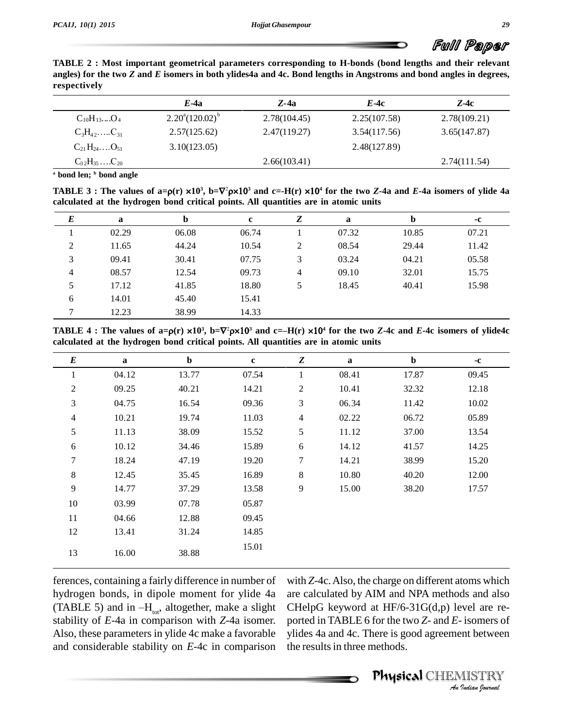

**TABLE 2 : Most important geometrical parameters corresponding to H-bonds (bond lengths and their relevant** angles) for the two Z and E isomers in both ylides4a and 4c. Bond lengths in Angstroms and bond angles in degrees, **respectively**

|                                                    | $E$ -4a                         | $Z$ -4a      | <i>E-4c</i>  | $Z-4c$       |
|----------------------------------------------------|---------------------------------|--------------|--------------|--------------|
| $C_{10}H_{13}O_4$                                  | $2.20^{\circ} (120.02)^{\circ}$ | 2.78(104.45) | 2.25(107.58) | 2.78(109.21) |
| $C_3H_{42}$ $C_{31}$                               | 2.57(125.62)                    | 2.47(119.27) | 3.54(117.56) | 3.65(147.87) |
| $C_{21}H_{24}$ $O_{51}$                            | 3.10(123.05)                    |              | 2.48(127.89) |              |
| $C_3$ <sub>2</sub> H <sub>35</sub> C <sub>20</sub> |                                 | 2.66(103.41) |              | 2.74(111.54) |
|                                                    |                                 |              |              |              |

**<sup>a</sup> bond len; <sup>b</sup> bond angle**

a bond len; b bond angle<br>
a bond len; b bond angle<br>
TABLE 3: The values of a= $\rho(r) \times 10^3$ , b= $\nabla^2 \rho \times 10^3$  and c=-H(r)  $\times 10^4$  for the two Z-4a and E-4a isomers of ylide 4a **calculated at the hydrogen bond critical points. All quantities are in atomic units**

| $\bm E$ | a     | $\mathbf b$ | c     | Z | a     |       | -c    |
|---------|-------|-------------|-------|---|-------|-------|-------|
|         | 02.29 | 06.08       | 06.74 |   | 07.32 | 10.85 | 07.21 |
| 2       | 11.65 | 44.24       | 10.54 | 2 | 08.54 | 29.44 | 11.42 |
| 3       | 09.41 | 30.41       | 07.75 | 3 | 03.24 | 04.21 | 05.58 |
| 4       | 08.57 | 12.54       | 09.73 | 4 | 09.10 | 32.01 | 15.75 |
| 5       | 17.12 | 41.85       | 18.80 | 5 | 18.45 | 40.41 | 15.98 |
| 6       | 14.01 | 45.40       | 15.41 |   |       |       |       |
| 7       | 12.23 | 38.99       | 14.33 |   |       |       |       |

**calculated at the hydrogen bond critical points. All quantities are in atomic units**

| $\bm E$        | a     | $\mathbf b$ | $\mathbf c$ | Z              | $\mathbf{a}$ | $\mathbf b$ | $-c$  |
|----------------|-------|-------------|-------------|----------------|--------------|-------------|-------|
| 1              | 04.12 | 13.77       | 07.54       | 1              | 08.41        | 17.87       | 09.45 |
| $\overline{2}$ | 09.25 | 40.21       | 14.21       | $\mathbf{2}$   | 10.41        | 32.32       | 12.18 |
| 3              | 04.75 | 16.54       | 09.36       | 3              | 06.34        | 11.42       | 10.02 |
| $\overline{4}$ | 10.21 | 19.74       | 11.03       | $\overline{4}$ | 02.22        | 06.72       | 05.89 |
| 5              | 11.13 | 38.09       | 15.52       | 5              | 11.12        | 37.00       | 13.54 |
| 6              | 10.12 | 34.46       | 15.89       | 6              | 14.12        | 41.57       | 14.25 |
| 7              | 18.24 | 47.19       | 19.20       | 7              | 14.21        | 38.99       | 15.20 |
| 8              | 12.45 | 35.45       | 16.89       | 8              | 10.80        | 40.20       | 12.00 |
| 9              | 14.77 | 37.29       | 13.58       | $\overline{9}$ | 15.00        | 38.20       | 17.57 |
| 10             | 03.99 | 07.78       | 05.87       |                |              |             |       |
| 11             | 04.66 | 12.88       | 09.45       |                |              |             |       |
| 12             | 13.41 | 31.24       | 14.85       |                |              |             |       |
| 13             | 16.00 | 38.88       | 15.01       |                |              |             |       |

ferences, containing a fairly difference in number of hydrogen bonds, in dipole moment for ylide 4a (TABLE 5) and in  $-H_{tot}$ , altogether, make a slight stability of *E*-4a in comparison with *Z*-4a isomer. Also, these parameters in ylide 4c make a favorable and considerable stability on *E*-4c in comparison

*An*CHelpG keyword at HF/6-31G(d,p) level are re- *I*<br>*I* isomers of<br>*Indian hournal*<br>*Indian hournal* with *Z*-4c.Also, the charge on different atoms which are calculated by AIM and NPA methods and also ported in TABLE 6 forthe two *Z*- and *E*- isomers of ylides 4a and 4c. There is good agreement between the results in three methods.

Physical CHEMISTRY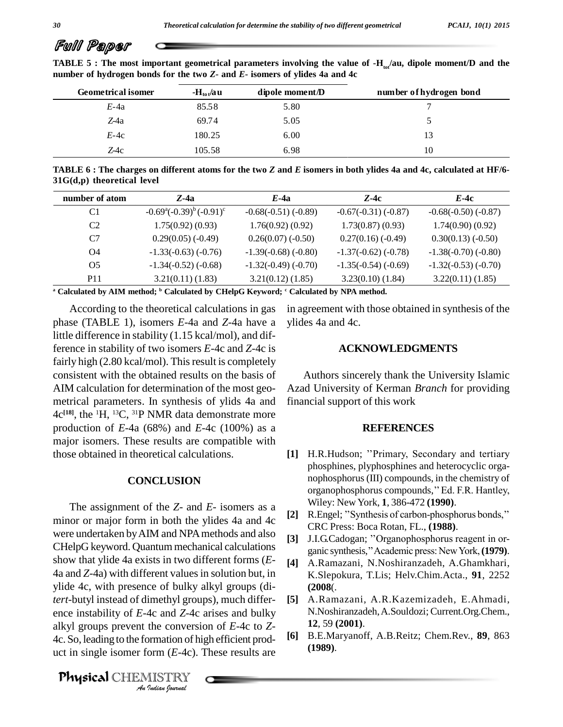# Full Paper

| <b>Geometrical isomer</b> | $-H_{tot}/au$ | dipole moment/D | number of hydrogen bond |
|---------------------------|---------------|-----------------|-------------------------|
| $E-4a$                    | 85.58         | 5.80            |                         |
| Z-4a                      | 69.74         | 5.05            |                         |
| $E-4c$                    | 180.25        | 6.00            | 13                      |
| $Z$ -4c                   | 105.58        | 6.98            | 10                      |

**TABLE 5** : The most important geometrical parameters involving the value of  $-H_{\omega}/\text{au}$ , dipole moment/D and the **number of hydrogen bonds for the two** *Z***-and** *E***- isomers of ylides 4a and 4c**

TABLE 6 : The charges on different atoms for the two Z and E isomers in both ylides 4a and 4c, calculated at HF/6-**31G(d,p) theoretical level**

| number of atom | $Z$ -4a                                       | $E$ -4a                    | $Z-4c$                     | E-4c                       |
|----------------|-----------------------------------------------|----------------------------|----------------------------|----------------------------|
| C <sub>1</sub> | $-0.69^{\circ}(-0.39)^{\circ}(-0.91)^{\circ}$ | $-0.68(-0.51)$ ( $-0.89$ ) | $-0.67(-0.31)$ ( $-0.87$ ) | $-0.68(-0.50)$ ( $-0.87$ ) |
| C <sub>2</sub> | 1.75(0.92)(0.93)                              | 1.76(0.92)(0.92)           | 1.73(0.87)(0.93)           | 1.74(0.90)(0.92)           |
| C <sub>7</sub> | $0.29(0.05)$ (-0.49)                          | $0.26(0.07)$ (-0.50)       | $0.27(0.16)$ (-0.49)       | $0.30(0.13)$ (-0.50)       |
| O4             | $-1.33(-0.63)$ $(-0.76)$                      | $-1.39(-0.68)$ ( $-0.80$ ) | $-1.37(-0.62)$ ( $-0.78$ ) | $-1.38(-0.70)$ ( $-0.80$ ) |
| O <sub>5</sub> | $-1.34(-0.52)$ ( $-0.68$ )                    | $-1.32(-0.49)$ $(-0.70)$   | $-1.35(-0.54)$ ( $-0.69$ ) | $-1.32(-0.53)(-0.70)$      |
| <b>P11</b>     | 3.21(0.11)(1.83)                              | 3.21(0.12)(1.85)           | $3.23(0.10)$ $(1.84)$      | 3.22(0.11)(1.85)           |

**<sup>a</sup> Calculated by AIM method; <sup>b</sup> Calculated by CHelpG Keyword; <sup>c</sup> Calculated by NPA method.**

According to the theoretical calculations in gas phase (TABLE 1), isomers *E*-4a and *Z*-4a have a little difference in stability (1.15 kcal/mol), and difference in stability of two isomers *E*-4c and *Z*-4c is fairly high (2.80 kcal/mol). This result is completely consistent with the obtained results on the basis of AIM calculation for determination of the most geo metrical parameters. In synthesis of ylids 4a and 4c **[18]**, the <sup>1</sup>H, <sup>13</sup>C, <sup>31</sup>P NMR data demonstrate more production of*E*-4a (68%) and *E*-4c (100%) as a major isomers. These results are compatible with those obtained in theoretical calculations.

# **CONCLUSION**

ence instability of *E*-4c and *Z*-4c arises and bulky N. 4c and *Z*-4c<br>the conversi<br>prmation of h<br>form (*E*-4c).<br><u>IISTRY</u> The assignment of the *Z*- and *E*- isomers as a minor or major form in both the ylides 4a and 4c were undertaken by AIM and NPA methods and also [3] J.I.G.Cadogan; "Organophosphorus reagent in or-CHelpG keyword. Quantum mechanical calculations show that ylide 4a exists in two different forms (*E*- 4a and *Z*-4a) with different valuesin solution but, in ylide 4c, with presence of bulky alkyl groups (di*tert*-butyl instead of dimethyl groups), much differ alkyl groups prevent the conversion of *<sup>E</sup>*-4c to *<sup>Z</sup>*-4c. So, leading to the formation of high efficient prod uct in single isomer form (*E*-4c). These results are

Physical CHEMISTRY

in agreement with those obtained in synthesis of the ylides 4a and 4c.

# **ACKNOWLEDGMENTS**

Authors sincerely thank the University Islamic Azad University of Kerman *Branch* for providing financial support of this work

#### **REFERENCES**

- [1] H.R.Hudson; "Primary, Secondary and tertiary phosphines, plyphosphines and heterocyclic orga nophosphorus(III) compounds, in the chemistry of phosphines, plyphosphines and heterocyclic orga-<br>nophosphorus (III) compounds, in the chemistry of<br>organophosphorus compounds,'' Ed. F.R. Hantley, Wiley: New York, **1**, 386-472 **(1990)**. organophosphorus compounds," Ed. F.R. Hantley,<br>Wiley: New York, **1**, 386-472 (**1990**).<br>[2] R.Engel; "Synthesis of carbon-phosphorus bonds,"
- CRC Press: Boca Rotan, FL., **(1988)**. [2] R.Engel; "Synthesis of carbon-phosphorus bonds,"<br>CRC Press: Boca Rotan, FL., (1988).<br>[3] J.I.G.Cadogan; "Organophosphorus reagent in or-
- ganic synthesis," Academic press: New York, (1979).
- **[4]** A.Ramazani, N.Noshiranzadeh, A.Ghamkhari, K.Slepokura, T.Lis; Helv.Chim.Acta., **91**, 2252 **(2008**(.
- **[5]** A.Ramazani, A.R.Kazemizadeh, E.Ahmadi, N.Noshiranzadeh,A.Souldozi; Current.Org.Chem., **12**, 59 **(2001)**.
- **[6]** B.E.Maryanoff, A.B.Reitz; Chem.Rev., **89**, 863 **(1989)**.